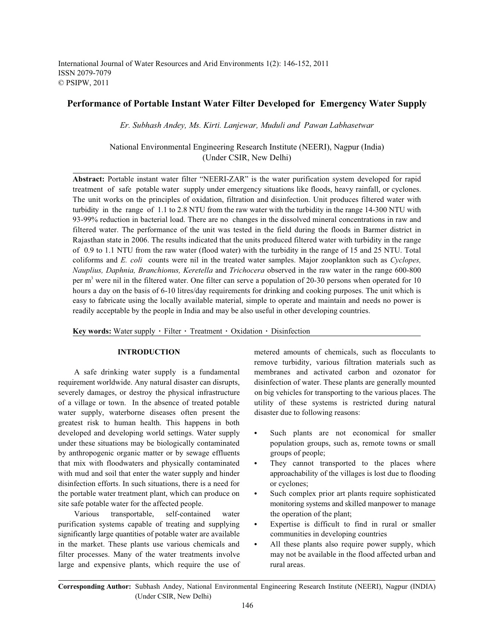International Journal of Water Resources and Arid Environments 1(2): 146-152, 2011 ISSN 2079-7079 © PSIPW, 2011

# **Performance of Portable Instant Water Filter Developed for Emergency Water Supply**

*Er. Subhash Andey, Ms. Kirti. Lanjewar, Muduli and Pawan Labhasetwar*

National Environmental Engineering Research Institute (NEERI), Nagpur (India) (Under CSIR, New Delhi)

**Abstract:** Portable instant water filter "NEERI-ZAR" is the water purification system developed for rapid treatment of safe potable water supply under emergency situations like floods, heavy rainfall, or cyclones. The unit works on the principles of oxidation, filtration and disinfection. Unit produces filtered water with turbidity in the range of 1.1 to 2.8 NTU from the raw water with the turbidity in the range 14-300 NTU with 93-99% reduction in bacterial load. There are no changes in the dissolved mineral concentrations in raw and filtered water. The performance of the unit was tested in the field during the floods in Barmer district in Rajasthan state in 2006. The results indicated that the units produced filtered water with turbidity in the range of 0.9 to 1.1 NTU from the raw water (flood water) with the turbidity in the range of 15 and 25 NTU. Total coliforms and *E. coli* counts were nil in the treated water samples. Major zooplankton such as *Cyclopes, Nauplius, Daphnia, Branchionus, Keretella* and *Trichocera* observed in the raw water in the range 600-800 per  $m<sup>3</sup>$  were nil in the filtered water. One filter can serve a population of 20-30 persons when operated for 10 hours a day on the basis of 6-10 litres/day requirements for drinking and cooking purposes. The unit which is easy to fabricate using the locally available material, simple to operate and maintain and needs no power is readily acceptable by the people in India and may be also useful in other developing countries.

Key words: Water supply · Filter · Treatment · Oxidation · Disinfection

requirement worldwide. Any natural disaster can disrupts, disinfection of water. These plants are generally mounted severely damages, or destroy the physical infrastructure on big vehicles for transporting to the various places. The of a village or town. In the absence of treated potable utility of these systems is restricted during natural water supply, waterborne diseases often present the disaster due to following reasons: greatest risk to human health. This happens in both developed and developing world settings. Water supply  $\bullet$  Such plants are not economical for smaller under these situations may be biologically contaminated population groups, such as, remote towns or small by anthropogenic organic matter or by sewage effluents groups of people; that mix with floodwaters and physically contaminated  $\bullet$  They cannot transported to the places where with mud and soil that enter the water supply and hinder approachability of the villages is lost due to flooding disinfection efforts. In such situations, there is a need for or cyclones; the portable water treatment plant, which can produce on  $\bullet$  Such complex prior art plants require sophisticated site safe potable water for the affected people. monitoring systems and skilled manpower to manage

Various transportable, self-contained water the operation of the plant; purification systems capable of treating and supplying • Expertise is difficult to find in rural or smaller significantly large quantities of potable water are available communities in developing countries in the market. These plants use various chemicals and  $\bullet$  All these plants also require power supply, which filter processes. Many of the water treatments involve may not be available in the flood affected urban and large and expensive plants, which require the use of rural areas.

**INTRODUCTION** metered amounts of chemicals, such as flocculants to A safe drinking water supply is a fundamental membranes and activated carbon and ozonator for remove turbidity, various filtration materials such as

- 
- 
- 
- 
- 

**Corresponding Author:** Subhash Andey, National Environmental Engineering Research Institute (NEERI), Nagpur (INDIA) (Under CSIR, New Delhi)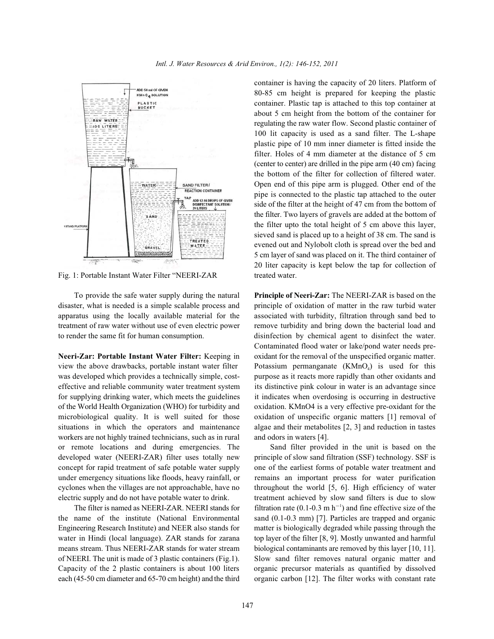

Fig. 1: Portable Instant Water Filter "NEERI-ZAR treated water.

disaster, what is needed is a simple scalable process and principle of oxidation of matter in the raw turbid water apparatus using the locally available material for the associated with turbidity, filtration through sand bed to treatment of raw water without use of even electric power remove turbidity and bring down the bacterial load and to render the same fit for human consumption. disinfection by chemical agent to disinfect the water.

view the above drawbacks, portable instant water filter  $\blacksquare$  Potassium permanganate (KMnO<sub>4</sub>) is used for this was developed which provides a technically simple, cost-<br>purpose as it reacts more rapidly than other oxidants and effective and reliable community water treatment system its distinctive pink colour in water is an advantage since for supplying drinking water, which meets the guidelines it indicates when overdosing is occurring in destructive of the World Health Organization (WHO) for turbidity and oxidation. KMnO4 is a very effective pre-oxidant for the microbiological quality. It is well suited for those oxidation of unspecific organic matters [1] removal of situations in which the operators and maintenance algae and their metabolites [2, 3] and reduction in tastes workers are not highly trained technicians, such as in rural and odors in waters [4]. or remote locations and during emergencies. The Sand filter provided in the unit is based on the developed water (NEERI-ZAR) filter uses totally new principle of slow sand filtration (SSF) technology. SSF is concept for rapid treatment of safe potable water supply one of the earliest forms of potable water treatment and under emergency situations like floods, heavy rainfall, or remains an important process for water purification cyclones when the villages are not approachable, have no throughout the world [5, 6]. High efficiency of water electric supply and do not have potable water to drink. treatment achieved by slow sand filters is due to slow

container is having the capacity of 20 liters. Platform of 80-85 cm height is prepared for keeping the plastic container. Plastic tap is attached to this top container at about 5 cm height from the bottom of the container for regulating the raw water flow. Second plastic container of 100 lit capacity is used as a sand filter. The L-shape plastic pipe of 10 mm inner diameter is fitted inside the filter. Holes of 4 mm diameter at the distance of 5 cm (center to center) are drilled in the pipe arm (40 cm) facing the bottom of the filter for collection of filtered water. Open end of this pipe arm is plugged. Other end of the pipe is connected to the plastic tap attached to the outer side of the filter at the height of 47 cm from the bottom of the filter. Two layers of gravels are added at the bottom of the filter upto the total height of 5 cm above this layer, sieved sand is placed up to a height of 38 cm. The sand is evened out and Nylobolt cloth is spread over the bed and 5 cm layer of sand was placed on it. The third container of 20 liter capacity is kept below the tap for collection of

To provide the safe water supply during the natural **Principle of Neeri-Zar:** The NEERI-ZAR is based on the **Neeri-Zar: Portable Instant Water Filter:** Keeping in oxidant for the removal of the unspecified organic matter. Contaminated flood water or lake/pond water needs pre-

The filter is named as NEERI-ZAR. NEERI stands for filtration rate  $(0.1-0.3 \text{ m h}^{-1})$  and fine effective size of the the name of the institute (National Environmental sand (0.1-0.3 mm) [7]. Particles are trapped and organic Engineering Research Institute) and NEER also stands for matter is biologically degraded while passing through the water in Hindi (local language). ZAR stands for zarana top layer of the filter [8, 9]. Mostly unwanted and harmful means stream. Thus NEERI-ZAR stands for water stream biological contaminants are removed by this layer [10, 11]. of NEERI. The unit is made of 3 plastic containers (Fig.1). Slow sand filter removes natural organic matter and Capacity of the 2 plastic containers is about 100 liters organic precursor materials as quantified by dissolved each (45-50 cm diameter and 65-70 cm height) and the third organic carbon [12]. The filter works with constant rate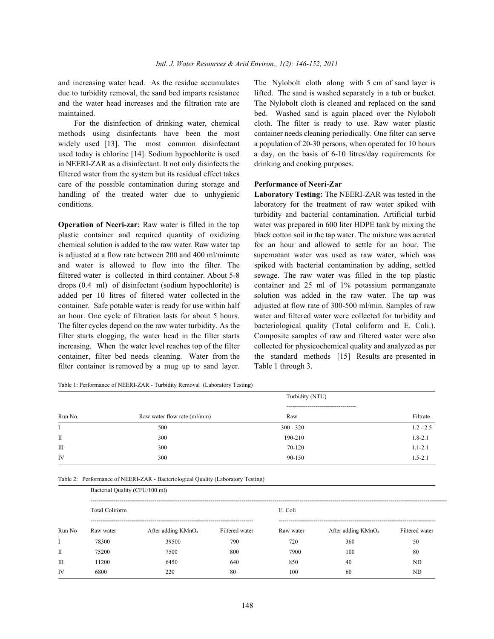and increasing water head. As the residue accumulates The Nylobolt cloth along with 5 cm of sand layer is due to turbidity removal, the sand bed imparts resistance lifted. The sand is washed separately in a tub or bucket. and the water head increases and the filtration rate are The Nylobolt cloth is cleaned and replaced on the sand maintained. bed. Washed sand is again placed over the Nylobolt

methods using disinfectants have been the most container needs cleaning periodically. One filter can serve widely used [13]. The most common disinfectant a population of 20-30 persons, when operated for 10 hours used today is chlorine [14]. Sodium hypochlorite is used a day, on the basis of 6-10 litres/day requirements for in NEERI-ZAR as a disinfectant. It not only disinfects the drinking and cooking purposes. filtered water from the system but its residual effect takes care of the possible contamination during storage and **Performance of Neeri-Zar** handling of the treated water due to unhygienic **Laboratory Testing:** The NEERI-ZAR was tested in the conditions. laboratory for the treatment of raw water spiked with

plastic container and required quantity of oxidizing black cotton soil in the tap water. The mixture was aerated chemical solution is added to the raw water. Raw water tap for an hour and allowed to settle for an hour. The is adjusted at a flow rate between 200 and 400 ml/minute supernatant water was used as raw water, which was and water is allowed to flow into the filter. The spiked with bacterial contamination by adding, settled filtered water is collected in third container. About 5-8 sewage. The raw water was filled in the top plastic drops (0.4 ml) of disinfectant (sodium hypochlorite) is container and 25 ml of 1% potassium permanganate added per 10 litres of filtered water collected in the solution was added in the raw water. The tap was container. Safe potable water is ready for use within half adjusted at flow rate of 300-500 ml/min. Samples of raw an hour. One cycle of filtration lasts for about 5 hours. water and filtered water were collected for turbidity and The filter cycles depend on the raw water turbidity. As the bacteriological quality (Total coliform and E. Coli.). filter starts clogging, the water head in the filter starts Composite samples of raw and filtered water were also increasing. When the water level reaches top of the filter collected for physicochemical quality and analyzed as per container, filter bed needs cleaning. Water from the the standard methods [15] Results are presented in filter container is removed by a mug up to sand layer. Table 1 through 3.

For the disinfection of drinking water, chemical cloth. The filter is ready to use. Raw water plastic

**Operation of Neeri-zar:** Raw water is filled in the top water was prepared in 600 liter HDPE tank by mixing the turbidity and bacterial contamination. Artificial turbid

Table 1: Performance of NEERI-ZAR - Turbidity Removal (Laboratory Testing)

| Run No. | Turbidity (NTU)              |                                              |             |  |
|---------|------------------------------|----------------------------------------------|-------------|--|
|         | Raw water flow rate (ml/min) | -------------------------------------<br>Raw | Filtrate    |  |
| Ι.      | 500                          | $300 - 320$                                  | $1.2 - 2.5$ |  |
| П       | 300                          | 190-210                                      | $1.8 - 2.1$ |  |
| Ш       | 300                          | 70-120                                       | $1.1 - 2.1$ |  |
| IV      | 300                          | 90-150                                       | $1.5 - 2.1$ |  |

Table 2: Performance of NEERI-ZAR - Bacteriological Quality (Laboratory Testing)

|              |                       | Bacterial Quality (CFU/100 ml) |                |           |                                |                |  |  |
|--------------|-----------------------|--------------------------------|----------------|-----------|--------------------------------|----------------|--|--|
|              | <b>Total Coliform</b> |                                |                | E. Coli   |                                |                |  |  |
| Run No       | Raw water             | After adding KMnO <sub>4</sub> | Filtered water | Raw water | After adding KMnO <sub>4</sub> | Filtered water |  |  |
|              | 78300                 | 39500                          | 790            | 720       | 360                            | 50             |  |  |
| $\mathbf{I}$ | 75200                 | 7500                           | 800            | 7900      | 100                            | 80             |  |  |
| $\mathbf{I}$ | 11200                 | 6450                           | 640            | 850       | 40                             | ND             |  |  |
| <b>IV</b>    | 6800                  | 220                            | 80             | 100       | 60                             | ND             |  |  |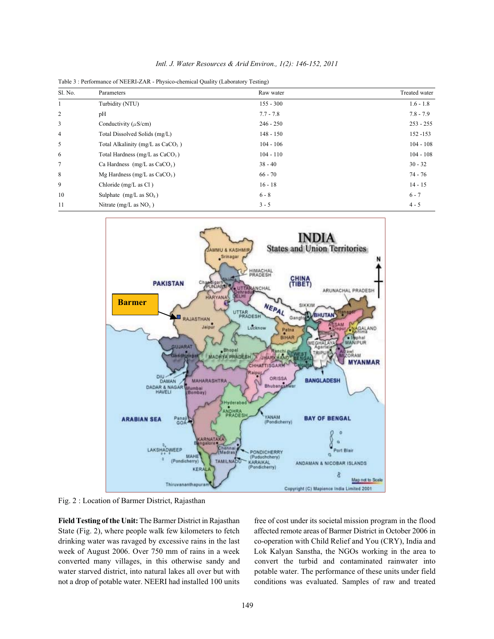Table 3 : Performance of NEERI-ZAR - Physico-chemical Quality (Laboratory Testing)

| Sl. No.        | Parameters                          | Raw water   | Treated water |
|----------------|-------------------------------------|-------------|---------------|
|                | Turbidity (NTU)                     | $155 - 300$ | $1.6 - 1.8$   |
| 2              | pH                                  | $7.7 - 7.8$ | $7.8 - 7.9$   |
| 3              | Conductivity ( $\mu$ S/cm)          | $246 - 250$ | $253 - 255$   |
| $\overline{4}$ | Total Dissolved Solids (mg/L)       | $148 - 150$ | 152 - 153     |
| 5              | Total Alkalinity (mg/L as $CaCO3$ ) | $104 - 106$ | $104 - 108$   |
| 6              | Total Hardness (mg/L as $CaCO3$ )   | $104 - 110$ | $104 - 108$   |
| 7              | Ca Hardness $(mg/L as CaCO3)$       | $38 - 40$   | $30 - 32$     |
| 8              | Mg Hardness (mg/L as $CaCO3$ )      | $66 - 70$   | 74 - 76       |
| 9              | Chloride (mg/L as Cl)               | $16 - 18$   | $14 - 15$     |
| 10             | Sulphate $(mg/L as SO4)$            | $6 - 8$     | $6 - 7$       |
| 11             | Nitrate (mg/L as $NO_3$ )           | $3 - 5$     | $4 - 5$       |



Fig. 2 : Location of Barmer District, Rajasthan

**Field Testing of the Unit:** The Barmer District in Rajasthan free of cost under its societal mission program in the flood State (Fig. 2), where people walk few kilometers to fetch affected remote areas of Barmer District in October 2006 in drinking water was ravaged by excessive rains in the last co-operation with Child Relief and You (CRY), India and week of August 2006. Over 750 mm of rains in a week Lok Kalyan Sanstha, the NGOs working in the area to converted many villages, in this otherwise sandy and convert the turbid and contaminated rainwater into water starved district, into natural lakes all over but with potable water. The performance of these units under field

not a drop of potable water. NEERI had installed 100 units conditions was evaluated. Samples of raw and treated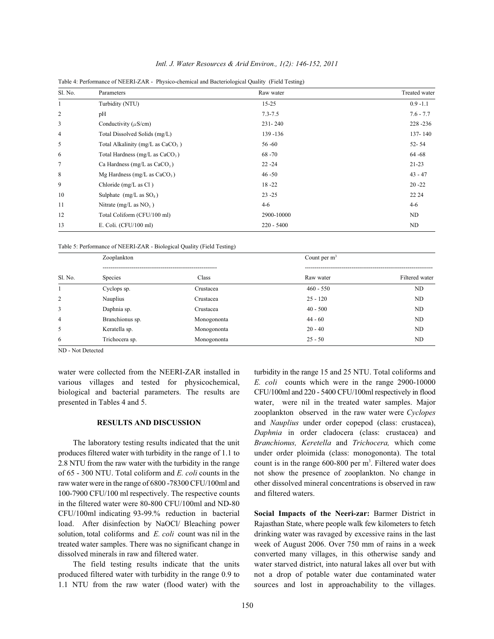| Sl. No.        | Parameters                          | Raw water    | Treated water |
|----------------|-------------------------------------|--------------|---------------|
| 1              | Turbidity (NTU)                     | $15 - 25$    | $0.9 - 1.1$   |
| 2              | pH                                  | $7.3 - 7.5$  | $7.6 - 7.7$   |
| 3              | Conductivity ( $\mu$ S/cm)          | $231 - 240$  | 228-236       |
| $\overline{4}$ | Total Dissolved Solids (mg/L)       | 139 -136     | 137-140       |
| 5              | Total Alkalinity (mg/L as $CaCO3$ ) | $56 - 60$    | $52 - 54$     |
| 6              | Total Hardness (mg/L as $CaCO3$ )   | $68 - 70$    | $64 - 68$     |
| 7              | Ca Hardness (mg/L as $CaCO3$ )      | $22 - 24$    | $21 - 23$     |
| 8              | Mg Hardness (mg/L as $CaCO3$ )      | $46 - 50$    | $43 - 47$     |
| 9              | Chloride (mg/L as Cl)               | $18 - 22$    | $20 - 22$     |
| 10             | Sulphate $(mg/L as SO4)$            | $23 - 25$    | 22 24         |
| 11             | Nitrate (mg/L as $NO3$ )            | $4-6$        | $4 - 6$       |
| 12             | Total Coliform (CFU/100 ml)         | 2900-10000   | ND            |
| 13             | E. Coli. $(CFU/100$ ml)             | $220 - 5400$ | ND            |

*Intl. J. Water Resources & Arid Environ., 1(2): 146-152, 2011*

Table 4: Performance of NEERI-ZAR - Physico-chemical and Bacteriological Quality (Field Testing)

Table 5: Performance of NEERI-ZAR - Biological Quality (Field Testing)

|                | Zooplankton     |             | Count per $m3$ |                |  |  |
|----------------|-----------------|-------------|----------------|----------------|--|--|
|                |                 |             |                |                |  |  |
| Sl. No.        | Species         | Class       | Raw water      | Filtered water |  |  |
|                | Cyclops sp.     | Crustacea   | $460 - 550$    | <b>ND</b>      |  |  |
| 2              | Nauplius        | Crustacea   | $25 - 120$     | ND             |  |  |
| 3              | Daphnia sp.     | Crustacea   | $40 - 500$     | ND             |  |  |
| $\overline{4}$ | Branchionus sp. | Monogononta | $44 - 60$      | ND             |  |  |
| 5              | Keratella sp.   | Monogononta | $20 - 40$      | ND             |  |  |
| 6              | Trichocera sp.  | Monogononta | $25 - 50$      | ND             |  |  |

ND - Not Detected

various villages and tested for physicochemical, *E. coli* counts which were in the range 2900-10000 biological and bacterial parameters. The results are CFU/100ml and 220 - 5400 CFU/100ml respectively in flood presented in Tables 4 and 5. water, were nil in the treated water samples. Major

produces filtered water with turbidity in the range of 1.1 to under order ploimida (class: monogononta). The total 2.8 NTU from the raw water with the turbidity in the range count is in the range  $600-800$  per m<sup>3</sup>. Filtered water does of 65 - 300 NTU. Total coliform and *E. coli* counts in the not show the presence of zooplankton. No change in raw water were in the range of 6800 -78300 CFU/100ml and other dissolved mineral concentrations is observed in raw 100-7900 CFU/100 ml respectively. The respective counts and filtered waters. in the filtered water were 80-800 CFU/100ml and ND-80 CFU/100ml indicating 93-99.% reduction in bacterial **Social Impacts of the Neeri-zar:** Barmer District in load. After disinfection by NaOCl/ Bleaching power Rajasthan State, where people walk few kilometers to fetch solution, total coliforms and *E. coli* count was nil in the drinking water was ravaged by excessive rains in the last treated water samples. There was no significant change in week of August 2006. Over 750 mm of rains in a week dissolved minerals in raw and filtered water. converted many villages, in this otherwise sandy and

produced filtered water with turbidity in the range 0.9 to not a drop of potable water due contaminated water

water were collected from the NEERI-ZAR installed in turbidity in the range 15 and 25 NTU. Total coliforms and **RESULTS AND DISCUSSION** and *Nauplius* under order copepod (class: crustacea), The laboratory testing results indicated that the unit *Branchionus, Keretella* and *Trichocera,* which come zooplankton observed in the raw water were *Cyclopes Daphnia* in order cladocera (class: crustacea) and

The field testing results indicate that the units water starved district, into natural lakes all over but with 1.1 NTU from the raw water (flood water) with the sources and lost in approachability to the villages.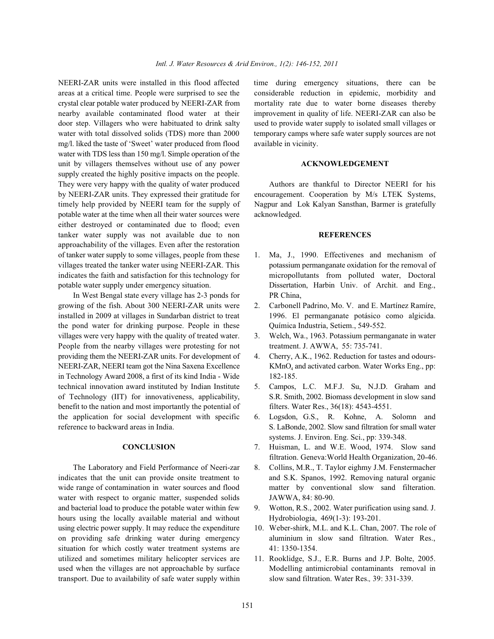areas at a critical time. People were surprised to see the considerable reduction in epidemic, morbidity and crystal clear potable water produced by NEERI-ZAR from mortality rate due to water borne diseases thereby nearby available contaminated flood water at their improvement in quality of life. NEERI-ZAR can also be door step. Villagers who were habituated to drink salty used to provide water supply to isolated small villages or water with total dissolved solids (TDS) more than 2000 temporary camps where safe water supply sources are not mg/l. liked the taste of 'Sweet' water produced from flood available in vicinity. water with TDS less than 150 mg/l. Simple operation of the unit by villagers themselves without use of any power **ACKNOWLEDGEMENT** supply created the highly positive impacts on the people. They were very happy with the quality of water produced Authors are thankful to Director NEERI for his by NEERI-ZAR units. They expressed their gratitude for encouragement. Cooperation by M/s LTEK Systems, timely help provided by NEERI team for the supply of Nagpur and Lok Kalyan Sansthan, Barmer is gratefully potable water at the time when all their water sources were acknowledged. either destroyed or contaminated due to flood; even tanker water supply was not available due to non **REFERENCES** approachability of the villages. Even after the restoration of tanker water supply to some villages, people from these 1. Ma, J., 1990. Effectivenes and mechanism of

In West Bengal state every village has 2-3 ponds for PR China, growing of the fish. About 300 NEERI-ZAR units were 2. Carbonell Padrino, Mo. V. and E. Martínez Ramíre, installed in 2009 at villages in Sundarban district to treat 1996. El permanganate potásico como algicida. the pond water for drinking purpose. People in these Ouímica Industria, Setiem., 549-552. villages were very happy with the quality of treated water. 3. Welch, Wa., 1963. Potassium permanganate in water People from the nearby villages were protesting for not treatment. J. AWWA, 55: 735-741. providing them the NEERI-ZAR units. For development of 4. Cherry, A.K., 1962. Reduction for tastes and odours-NEERI-ZAR, NEERI team got the Nina Saxena Excellence KMnO<sub>4</sub> and activated carbon. Water Works Eng., pp: in Technology Award 2008, a first of its kind India - Wide 182-185. technical innovation award instituted by Indian Institute 5. Campos, L.C. M.F.J. Su, N.J.D. Graham and of Technology (IIT) for innovativeness, applicability, S.R. Smith, 2002. Biomass development in slow sand benefit to the nation and most importantly the potential of filters. Water Res., 36(18): 4543-4551. the application for social development with specific 6. Logsdon, G.S., R. Kohne, A. Solomn and reference to backward areas in India. S. LaBonde, 2002. Slow sand filtration for small water

The Laboratory and Field Performance of Neeri-zar 8. Collins, M.R., T. Taylor eighmy J.M. Fenstermacher indicates that the unit can provide onsite treatment to and S.K. Spanos, 1992. Removing natural organic wide range of contamination in water sources and flood matter by conventional slow sand filteration. water with respect to organic matter, suspended solids JAWWA, 84: 80-90. and bacterial load to produce the potable water within few 9. Wotton, R.S., 2002. Water purification using sand. J. hours using the locally available material and without Hydrobiologia, 469(1-3): 193-201. using electric power supply. It may reduce the expenditure 10. Weber-shirk, M.L. and K.L. Chan, 2007. The role of on providing safe drinking water during emergency aluminium in slow sand filtration. Water Res., situation for which costly water treatment systems are 41: 1350-1354. utilized and sometimes military helicopter services are 11. Rooklidge, S.J., E.R. Burns and J.P. Bolte, 2005. used when the villages are not approachable by surface Modelling antimicrobial contaminants removal in transport. Due to availability of safe water supply within slow sand filtration. Water Res.*,* 39: 331-339.

NEERI-ZAR units were installed in this flood affected time during emergency situations, there can be

- villages treated the tanker water using NEERI-ZAR. This potassium permanganate oxidation for the removal of indicates the faith and satisfaction for this technology for micropollutants from polluted water, Doctoral potable water supply under emergency situation. Dissertation, Harbin Univ. of Archit. and Eng.,
	-
	-
	-
	-
	- systems. J. Environ. Eng. Sci., pp: 339-348.
	- **CONCLUSION** 7. Huisman, L. and W.E. Wood, 1974. Slow sand filtration. Geneva:World Health Organization, 20-46.
		-
		-
		-
		-